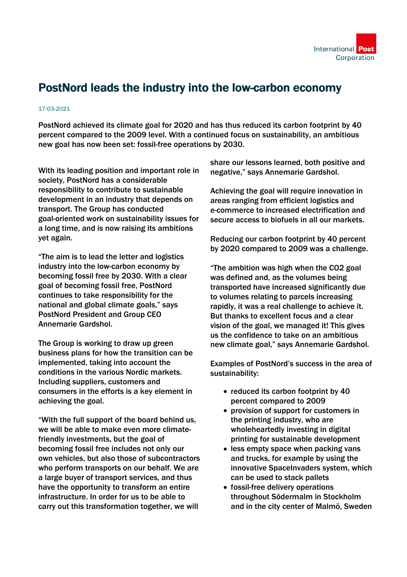

## PostNord leads the industry into the low-carbon economy

## 17-03-2021

PostNord achieved its climate goal for 2020 and has thus reduced its carbon footprint by 40 percent compared to the 2009 level. With a continued focus on sustainability, an ambitious new goal has now been set: fossil-free operations by 2030.

With its leading position and important role in society, PostNord has a considerable responsibility to contribute to sustainable development in an industry that depends on transport. The Group has conducted goal-oriented work on sustainability issues for a long time, and is now raising its ambitions yet again.

"The aim is to lead the letter and logistics industry into the low-carbon economy by becoming fossil free by 2030. With a clear goal of becoming fossil free, PostNord continues to take responsibility for the national and global climate goals," says PostNord President and Group CEO Annemarie Gardshol.

The Group is working to draw up green business plans for how the transition can be implemented, taking into account the conditions in the various Nordic markets. Including suppliers, customers and consumers in the efforts is a key element in achieving the goal.

"With the full support of the board behind us, we will be able to make even more climatefriendly investments, but the goal of becoming fossil free includes not only our own vehicles, but also those of subcontractors who perform transports on our behalf. We are a large buyer of transport services, and thus have the opportunity to transform an entire infrastructure. In order for us to be able to carry out this transformation together, we will

share our lessons learned, both positive and negative," says Annemarie Gardshol.

Achieving the goal will require innovation in areas ranging from efficient logistics and e-commerce to increased electrification and secure access to biofuels in all our markets.

Reducing our carbon footprint by 40 percent by 2020 compared to 2009 was a challenge.

"The ambition was high when the CO2 goal was defined and, as the volumes being transported have increased significantly due to volumes relating to parcels increasing rapidly, it was a real challenge to achieve it. But thanks to excellent focus and a clear vision of the goal, we managed it! This gives us the confidence to take on an ambitious new climate goal," says Annemarie Gardshol.

Examples of PostNord's success in the area of sustainability:

- reduced its carbon footprint by 40 percent compared to 2009
- provision of support for customers in the printing industry, who are wholeheartedly investing in digital printing for sustainable development
- less empty space when packing vans and trucks, for example by using the innovative SpaceInvaders system, which can be used to stack pallets
- fossil-free delivery operations throughout Södermalm in Stockholm and in the city center of Malmö, Sweden